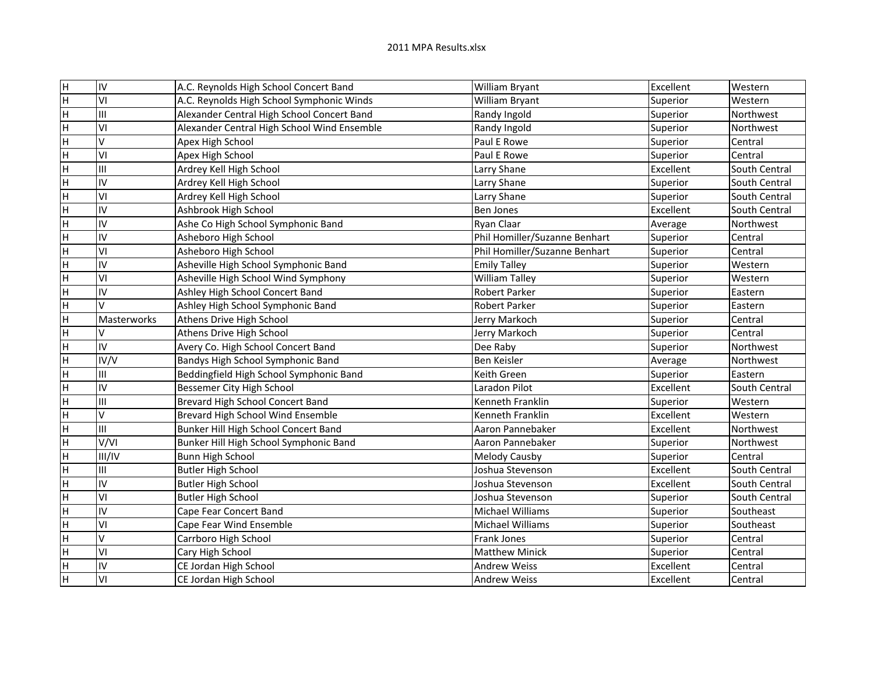| Īн | lıv         | A.C. Reynolds High School Concert Band      | <b>William Bryant</b>         | Excellent | Western       |
|----|-------------|---------------------------------------------|-------------------------------|-----------|---------------|
| H  | lvı         | A.C. Reynolds High School Symphonic Winds   | William Bryant                | Superior  | Western       |
| H  | Iш          | Alexander Central High School Concert Band  | Randy Ingold                  | Superior  | Northwest     |
| H  | lvı         | Alexander Central High School Wind Ensemble | Randy Ingold                  | Superior  | Northwest     |
| H  | lv          | Apex High School                            | Paul E Rowe                   | Superior  | Central       |
| H  | lvı         | Apex High School                            | Paul E Rowe                   | Superior  | Central       |
| H  | Įш          | Ardrey Kell High School                     | Larry Shane                   | Excellent | South Central |
| H  | lıv         | Ardrey Kell High School                     | Larry Shane                   | Superior  | South Central |
| H  | lvı         | Ardrey Kell High School                     | Larry Shane                   | Superior  | South Central |
| H  | lıv         | Ashbrook High School                        | Ben Jones                     | Excellent | South Central |
| H  | lıv         | Ashe Co High School Symphonic Band          | Ryan Claar                    | Average   | Northwest     |
| H  | liv         | Asheboro High School                        | Phil Homiller/Suzanne Benhart | Superior  | Central       |
| H  | lvı         | Asheboro High School                        | Phil Homiller/Suzanne Benhart | Superior  | Central       |
| H  | liv         | Asheville High School Symphonic Band        | <b>Emily Talley</b>           | Superior  | Western       |
| H  | lvı         | Asheville High School Wind Symphony         | <b>William Talley</b>         | Superior  | Western       |
| H  | lıv         | Ashley High School Concert Band             | <b>Robert Parker</b>          | Superior  | Eastern       |
| lн | $\vee$      | Ashley High School Symphonic Band           | <b>Robert Parker</b>          | Superior  | Eastern       |
| lн | Masterworks | Athens Drive High School                    | Jerry Markoch                 | Superior  | Central       |
| H  | lV.         | Athens Drive High School                    | Jerry Markoch                 | Superior  | Central       |
| lн | lıv         | Avery Co. High School Concert Band          | Dee Raby                      | Superior  | Northwest     |
| lн | IV/V        | Bandys High School Symphonic Band           | Ben Keisler                   | Average   | Northwest     |
| H  | IШ          | Beddingfield High School Symphonic Band     | Keith Green                   | Superior  | Eastern       |
| H  | lıv         | Bessemer City High School                   | Laradon Pilot                 | Excellent | South Central |
| H  | ÌШ          | Brevard High School Concert Band            | Kenneth Franklin              | Superior  | Western       |
| H  | IV.         | Brevard High School Wind Ensemble           | Kenneth Franklin              | Excellent | Western       |
| H  | lш          | Bunker Hill High School Concert Band        | Aaron Pannebaker              | Excellent | Northwest     |
| H  | V/VI        | Bunker Hill High School Symphonic Band      | Aaron Pannebaker              | Superior  | Northwest     |
| H  | III/IV      | <b>Bunn High School</b>                     | <b>Melody Causby</b>          | Superior  | Central       |
| H  | Ш           | <b>Butler High School</b>                   | Joshua Stevenson              | Excellent | South Central |
| H  | liv         | <b>Butler High School</b>                   | Joshua Stevenson              | Excellent | South Central |
| H  | lvı         | <b>Butler High School</b>                   | Joshua Stevenson              | Superior  | South Central |
| H  | liv         | Cape Fear Concert Band                      | Michael Williams              | Superior  | Southeast     |
| Ή  | lvı         | Cape Fear Wind Ensemble                     | Michael Williams              | Superior  | Southeast     |
| H  | lv.         | Carrboro High School                        | Frank Jones                   | Superior  | Central       |
| lн | lvı         | Cary High School                            | <b>Matthew Minick</b>         | Superior  | Central       |
| lн | liv         | CE Jordan High School                       | <b>Andrew Weiss</b>           | Excellent | Central       |
| lн | lvı         | CE Jordan High School                       | <b>Andrew Weiss</b>           | Excellent | Central       |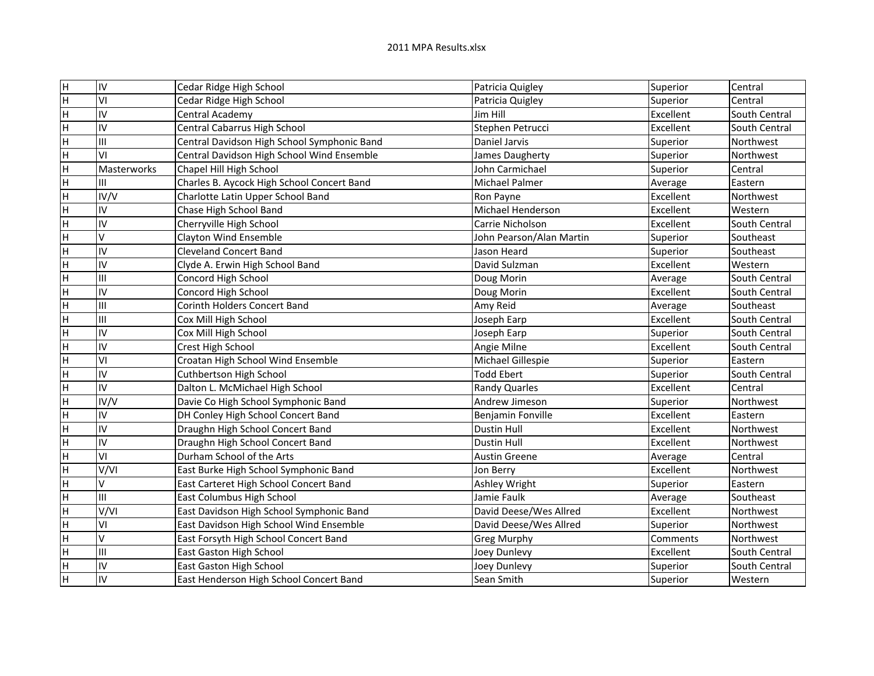| Iн | lıv         | Cedar Ridge High School                     | Patricia Quigley         | Superior  | Central       |
|----|-------------|---------------------------------------------|--------------------------|-----------|---------------|
| H  | lvı         | Cedar Ridge High School                     | Patricia Quigley         | Superior  | Central       |
| H  | liv         | Central Academy                             | Jim Hill                 | Excellent | South Central |
| H  | liv         | Central Cabarrus High School                | Stephen Petrucci         | Excellent | South Central |
| H  | ĪШ          | Central Davidson High School Symphonic Band | Daniel Jarvis            | Superior  | Northwest     |
| H  | lvı         | Central Davidson High School Wind Ensemble  | James Daugherty          | Superior  | Northwest     |
| H  | Masterworks | Chapel Hill High School                     | John Carmichael          | Superior  | Central       |
| H  | IШ          | Charles B. Aycock High School Concert Band  | Michael Palmer           | Average   | Eastern       |
| H  | IV/V        | Charlotte Latin Upper School Band           | Ron Payne                | Excellent | Northwest     |
| H  | lıv         | Chase High School Band                      | Michael Henderson        | Excellent | Western       |
| H  | lıv         | Cherryville High School                     | Carrie Nicholson         | Excellent | South Central |
| H  | lv.         | <b>Clayton Wind Ensemble</b>                | John Pearson/Alan Martin | Superior  | Southeast     |
| H  | liv         | <b>Cleveland Concert Band</b>               | Jason Heard              | Superior  | Southeast     |
| H  | liv         | Clyde A. Erwin High School Band             | David Sulzman            | Excellent | Western       |
| H  | Iш          | Concord High School                         | Doug Morin               | Average   | South Central |
| H  | liv         | Concord High School                         | Doug Morin               | Excellent | South Central |
| H  | Ш           | <b>Corinth Holders Concert Band</b>         | Amy Reid                 | Average   | Southeast     |
| H  | Ш           | Cox Mill High School                        | Joseph Earp              | Excellent | South Central |
| H  | lıv         | Cox Mill High School                        | Joseph Earp              | Superior  | South Central |
| H  | lıv         | Crest High School                           | Angie Milne              | Excellent | South Central |
| H  | lvı         | Croatan High School Wind Ensemble           | Michael Gillespie        | Superior  | Eastern       |
| H  | lıv         | Cuthbertson High School                     | <b>Todd Ebert</b>        | Superior  | South Central |
| H  | lıv         | Dalton L. McMichael High School             | <b>Randy Quarles</b>     | Excellent | Central       |
| H  | IV/V        | Davie Co High School Symphonic Band         | Andrew Jimeson           | Superior  | Northwest     |
| H  | lıv         | DH Conley High School Concert Band          | Benjamin Fonville        | Excellent | Eastern       |
| H  | İlV         | Draughn High School Concert Band            | <b>Dustin Hull</b>       | Excellent | Northwest     |
| H  | lıv         | Draughn High School Concert Band            | <b>Dustin Hull</b>       | Excellent | Northwest     |
| lн | VI          | Durham School of the Arts                   | <b>Austin Greene</b>     | Average   | Central       |
| H  | V/VI        | East Burke High School Symphonic Band       | Jon Berry                | Excellent | Northwest     |
| H  | V           | East Carteret High School Concert Band      | Ashley Wright            | Superior  | Eastern       |
| H  | lш          | East Columbus High School                   | Jamie Faulk              | Average   | Southeast     |
| H  | V/VI        | East Davidson High School Symphonic Band    | David Deese/Wes Allred   | Excellent | Northwest     |
| H  | lvı         | East Davidson High School Wind Ensemble     | David Deese/Wes Allred   | Superior  | Northwest     |
| H  | lv.         | East Forsyth High School Concert Band       | <b>Greg Murphy</b>       | Comments  | Northwest     |
| lн | Iш          | East Gaston High School                     | Joey Dunlevy             | Excellent | South Central |
| lн | lıv         | East Gaston High School                     | Joey Dunlevy             | Superior  | South Central |
| lн | liv         | East Henderson High School Concert Band     | Sean Smith               | Superior  | Western       |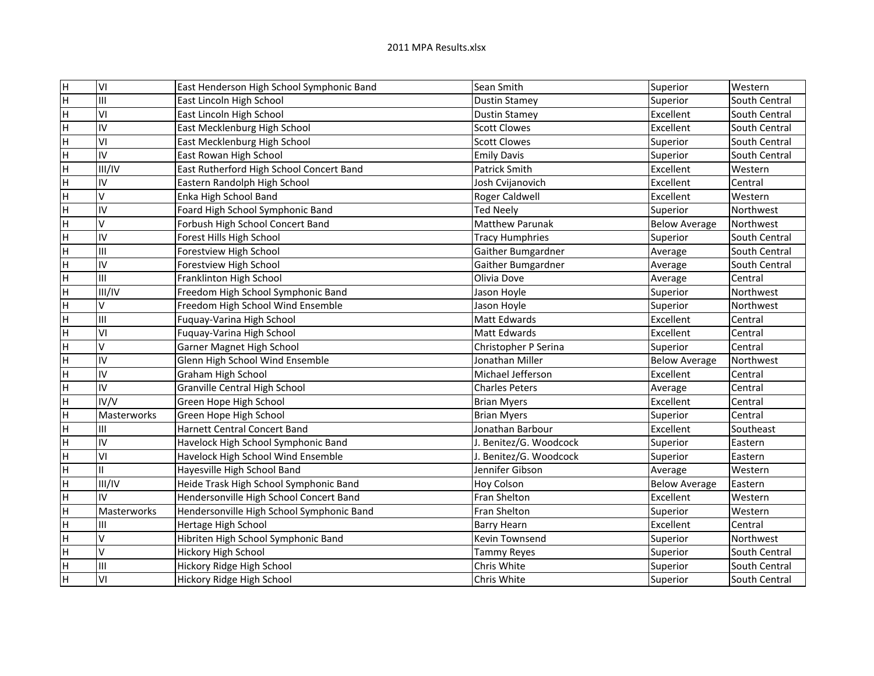| П  | lvı                     | East Henderson High School Symphonic Band | Sean Smith             | Superior             | Western       |
|----|-------------------------|-------------------------------------------|------------------------|----------------------|---------------|
| H  | Iш                      | East Lincoln High School                  | <b>Dustin Stamey</b>   | Superior             | South Central |
| Η  | lvı                     | East Lincoln High School                  | <b>Dustin Stamey</b>   | Excellent            | South Central |
| H  | IV                      | East Mecklenburg High School              | <b>Scott Clowes</b>    | Excellent            | South Central |
| H  | lvı                     | East Mecklenburg High School              | <b>Scott Clowes</b>    | Superior             | South Central |
| Η  | liv                     | East Rowan High School                    | <b>Emily Davis</b>     | Superior             | South Central |
| H  | III/IV                  | East Rutherford High School Concert Band  | <b>Patrick Smith</b>   | Excellent            | Western       |
| H  | IV                      | Eastern Randolph High School              | Josh Cvijanovich       | Excellent            | Central       |
| H  | V                       | Enka High School Band                     | <b>Roger Caldwell</b>  | Excellent            | Western       |
| H  | IV                      | Foard High School Symphonic Band          | <b>Ted Neely</b>       | Superior             | Northwest     |
| Iн | $\vee$                  | Forbush High School Concert Band          | <b>Matthew Parunak</b> | <b>Below Average</b> | Northwest     |
| H  | liv                     | Forest Hills High School                  | <b>Tracy Humphries</b> | Superior             | South Central |
| H  | Iш                      | Forestview High School                    | Gaither Bumgardner     | Average              | South Central |
| H  | liv                     | Forestview High School                    | Gaither Bumgardner     | Average              | South Central |
| Iн | Ш                       | Franklinton High School                   | Olivia Dove            | Average              | Central       |
| H  | III/IV                  | Freedom High School Symphonic Band        | Jason Hoyle            | Superior             | Northwest     |
| H  | V                       | Freedom High School Wind Ensemble         | Jason Hoyle            | Superior             | Northwest     |
| Η  | Ш                       | Fuquay-Varina High School                 | Matt Edwards           | Excellent            | Central       |
| H  | VI                      | Fuquay-Varina High School                 | Matt Edwards           | Excellent            | Central       |
| H  | V                       | Garner Magnet High School                 | Christopher P Serina   | Superior             | Central       |
| H  | IV                      | Glenn High School Wind Ensemble           | Jonathan Miller        | <b>Below Average</b> | Northwest     |
| H  | IV                      | Graham High School                        | Michael Jefferson      | Excellent            | Central       |
| H  | IV                      | Granville Central High School             | <b>Charles Peters</b>  | Average              | Central       |
| Η  | IV/V                    | Green Hope High School                    | <b>Brian Myers</b>     | Excellent            | Central       |
| Η  | Masterworks             | Green Hope High School                    | <b>Brian Myers</b>     | Superior             | Central       |
| H  | Iш                      | <b>Harnett Central Concert Band</b>       | Jonathan Barbour       | <b>IExcellent</b>    | Southeast     |
| H  | lıv                     | Havelock High School Symphonic Band       | J. Benitez/G. Woodcock | Superior             | Eastern       |
| H  | VI                      | Havelock High School Wind Ensemble        | J. Benitez/G. Woodcock | Superior             | Eastern       |
| Η  | $\mathbf{II}$           | Hayesville High School Band               | Jennifer Gibson        | Average              | Western       |
| H  | III/IV                  | Heide Trask High School Symphonic Band    | Hoy Colson             | <b>Below Average</b> | Eastern       |
| H  | IV                      | Hendersonville High School Concert Band   | Fran Shelton           | Excellent            | Western       |
| H  | Masterworks             | Hendersonville High School Symphonic Band | Fran Shelton           | Superior             | Western       |
| Iн | Iш                      | Hertage High School                       | <b>Barry Hearn</b>     | Excellent            | Central       |
| Iн | V                       | Hibriten High School Symphonic Band       | Kevin Townsend         | Superior             | Northwest     |
| H  | V                       | <b>Hickory High School</b>                | <b>Tammy Reyes</b>     | Superior             | South Central |
| H  | Ш                       | Hickory Ridge High School                 | Chris White            | Superior             | South Central |
| H  | $\overline{\mathsf{v}}$ | Hickory Ridge High School                 | Chris White            | Superior             | South Central |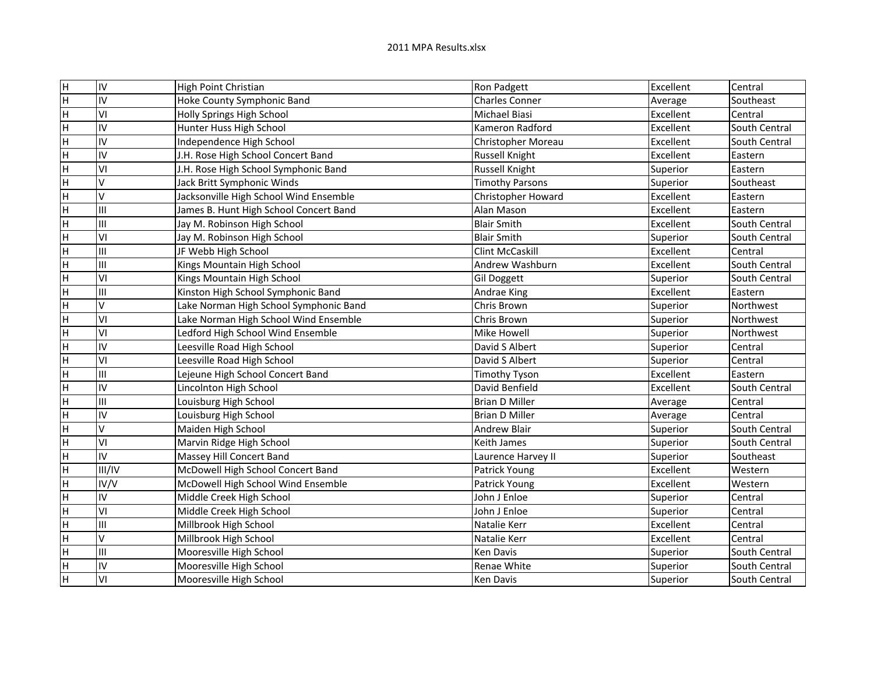| Īн                        | lıv    | High Point Christian                   | Ron Padgett            | Excellent | Central       |
|---------------------------|--------|----------------------------------------|------------------------|-----------|---------------|
| $\overline{\overline{H}}$ | lıv    | Hoke County Symphonic Band             | Charles Conner         | Average   | Southeast     |
| $\overline{H}$            | lvı    | Holly Springs High School              | Michael Biasi          | Excellent | Central       |
| H                         | lıv    | Hunter Huss High School                | Kameron Radford        | Excellent | South Central |
| H                         | lıv    | Independence High School               | Christopher Moreau     | Excellent | South Central |
| H                         | lıv    | J.H. Rose High School Concert Band     | Russell Knight         | Excellent | Eastern       |
| H                         | lvı    | J.H. Rose High School Symphonic Band   | Russell Knight         | Superior  | Eastern       |
| ŀн                        | lv     | Jack Britt Symphonic Winds             | <b>Timothy Parsons</b> | Superior  | Southeast     |
| ŀн                        | lv     | Jacksonville High School Wind Ensemble | Christopher Howard     | Excellent | Eastern       |
| H                         | Iш     | James B. Hunt High School Concert Band | Alan Mason             | Excellent | Eastern       |
| H                         | Iш     | Jay M. Robinson High School            | <b>Blair Smith</b>     | Excellent | South Central |
| H                         | lνι    | Jay M. Robinson High School            | <b>Blair Smith</b>     | Superior  | South Central |
| ĪН                        | Iш     | JF Webb High School                    | <b>Clint McCaskill</b> | Excellent | Central       |
| ĪН                        | Iш     | Kings Mountain High School             | Andrew Washburn        | Excellent | South Central |
| H                         | l٧ı    | Kings Mountain High School             | Gil Doggett            | Superior  | South Central |
| ĪН                        | Iш     | Kinston High School Symphonic Band     | Andrae King            | Excellent | Eastern       |
| H                         | $\vee$ | Lake Norman High School Symphonic Band | Chris Brown            | Superior  | Northwest     |
| lн                        | Ιvι    | Lake Norman High School Wind Ensemble  | Chris Brown            | Superior  | Northwest     |
| lн                        | Ιvι    | Ledford High School Wind Ensemble      | Mike Howell            | Superior  | Northwest     |
| lн                        | IV     | Leesville Road High School             | David S Albert         | Superior  | Central       |
| lн                        | ΙVΙ    | Leesville Road High School             | David S Albert         | Superior  | Central       |
| lн                        | Iш     | Lejeune High School Concert Band       | <b>Timothy Tyson</b>   | Excellent | Eastern       |
| lн                        | IV     | Lincolnton High School                 | David Benfield         | Excellent | South Central |
| ĪН                        | Iш     | Louisburg High School                  | <b>Brian D Miller</b>  | Average   | Central       |
| $\overline{\mathsf{H}}$   | lıv    | Louisburg High School                  | <b>Brian D Miller</b>  | Average   | Central       |
| H                         | V      | Maiden High School                     | Andrew Blair           | Superior  | South Central |
| H                         | VI     | Marvin Ridge High School               | <b>Keith James</b>     | Superior  | South Central |
| H                         | IV     | Massey Hill Concert Band               | Laurence Harvey II     | Superior  | Southeast     |
| H                         | III/IV | McDowell High School Concert Band      | Patrick Young          | Excellent | Western       |
| H                         | IV/V   | McDowell High School Wind Ensemble     | Patrick Young          | Excellent | Western       |
| H                         | liv    | Middle Creek High School               | John J Enloe           | Superior  | Central       |
| $\overline{H}$            | lνι    | Middle Creek High School               | John J Enloe           | Superior  | Central       |
| H                         | Iш     | Millbrook High School                  | Natalie Kerr           | Excellent | Central       |
| lн                        | V      | Millbrook High School                  | Natalie Kerr           | Excellent | Central       |
| lн                        | Iш     | Mooresville High School                | <b>Ken Davis</b>       | Superior  | South Central |
| lн                        | liv    | Mooresville High School                | Renae White            | Superior  | South Central |
| ℍ                         | lvı    | Mooresville High School                | lKen Davis             | Superior  | South Central |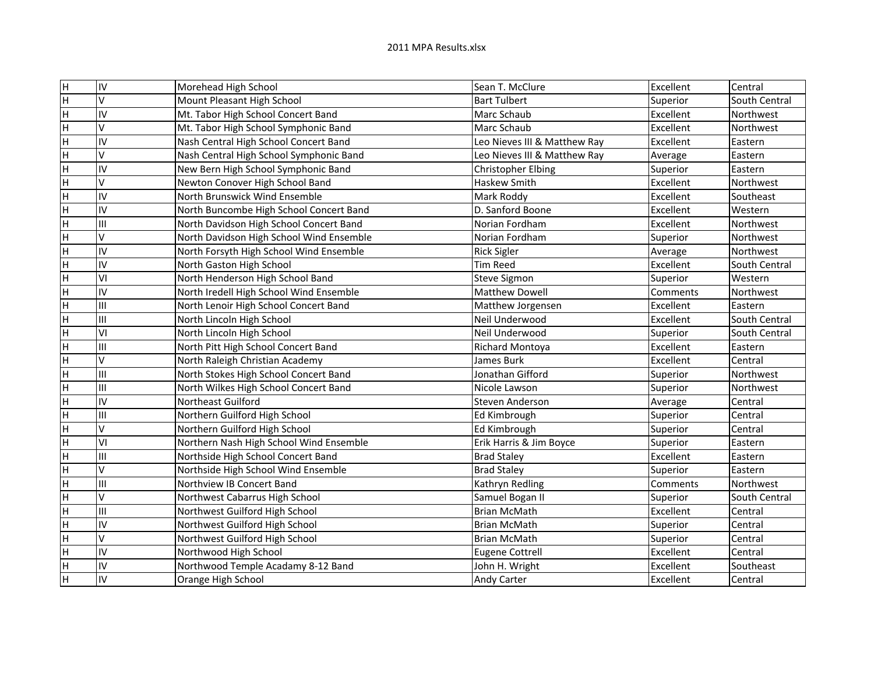| Īн | İlV | Morehead High School                     | Sean T. McClure              | Excellent | Central       |
|----|-----|------------------------------------------|------------------------------|-----------|---------------|
| H  | IV. | Mount Pleasant High School               | <b>Bart Tulbert</b>          | Superior  | South Central |
| H  | liv | Mt. Tabor High School Concert Band       | Marc Schaub                  | Excellent | Northwest     |
| H  | lv  | Mt. Tabor High School Symphonic Band     | Marc Schaub                  | Excellent | Northwest     |
| H  | lıv | Nash Central High School Concert Band    | Leo Nieves III & Matthew Ray | Excellent | Eastern       |
| H  | lv  | Nash Central High School Symphonic Band  | Leo Nieves III & Matthew Ray | Average   | Eastern       |
| H  | lıv | New Bern High School Symphonic Band      | <b>Christopher Elbing</b>    | Superior  | Eastern       |
| H  | l٧  | Newton Conover High School Band          | Haskew Smith                 | Excellent | Northwest     |
| H  | lıv | North Brunswick Wind Ensemble            | Mark Roddy                   | Excellent | Southeast     |
| H  | lıv | North Buncombe High School Concert Band  | D. Sanford Boone             | Excellent | Western       |
| H  | Ш   | North Davidson High School Concert Band  | Norian Fordham               | Excellent | Northwest     |
| H  | l٧  | North Davidson High School Wind Ensemble | Norian Fordham               | Superior  | Northwest     |
| H  | liv | North Forsyth High School Wind Ensemble  | <b>Rick Sigler</b>           | Average   | Northwest     |
| lн | liv | North Gaston High School                 | <b>Tim Reed</b>              | Excellent | South Central |
| lн | lvı | North Henderson High School Band         | <b>Steve Sigmon</b>          | Superior  | Western       |
| lн | lıv | North Iredell High School Wind Ensemble  | <b>Matthew Dowell</b>        | Comments  | Northwest     |
| lн | Iш  | North Lenoir High School Concert Band    | Matthew Jorgensen            | Excellent | Eastern       |
| H  | Ш   | North Lincoln High School                | Neil Underwood               | Excellent | South Central |
| H  | lvı | North Lincoln High School                | Neil Underwood               | Superior  | South Central |
| H  | Iш  | North Pitt High School Concert Band      | Richard Montoya              | Excellent | Eastern       |
| H  | lv. | North Raleigh Christian Academy          | James Burk                   | Excellent | Central       |
| H  | Iш  | North Stokes High School Concert Band    | Jonathan Gifford             | Superior  | Northwest     |
| H  | Iш  | North Wilkes High School Concert Band    | Nicole Lawson                | Superior  | Northwest     |
| H  | lıv | Northeast Guilford                       | <b>Steven Anderson</b>       | Average   | Central       |
| H  | Įш  | Northern Guilford High School            | Ed Kimbrough                 | Superior  | Central       |
| H  | lv  | Northern Guilford High School            | Ed Kimbrough                 | Superior  | Central       |
| H  | lvı | Northern Nash High School Wind Ensemble  | Erik Harris & Jim Boyce      | Superior  | Eastern       |
| H  | Iш  | Northside High School Concert Band       | <b>Brad Staley</b>           | Excellent | Eastern       |
| H  | ΙV  | Northside High School Wind Ensemble      | <b>Brad Staley</b>           | Superior  | Eastern       |
| H  | Iш  | Northview IB Concert Band                | Kathryn Redling              | Comments  | Northwest     |
| H  | lv  | Northwest Cabarrus High School           | Samuel Bogan II              | Superior  | South Central |
| H  | ĪШ  | Northwest Guilford High School           | <b>Brian McMath</b>          | Excellent | Central       |
| Ή  | lıv | Northwest Guilford High School           | <b>Brian McMath</b>          | Superior  | Central       |
| H  | lv. | Northwest Guilford High School           | <b>Brian McMath</b>          | Superior  | Central       |
| lн | lıv | Northwood High School                    | <b>Eugene Cottrell</b>       | Excellent | Central       |
| lн | lıv | Northwood Temple Acadamy 8-12 Band       | John H. Wright               | Excellent | Southeast     |
| lн | liv | Orange High School                       | <b>Andy Carter</b>           | Excellent | Central       |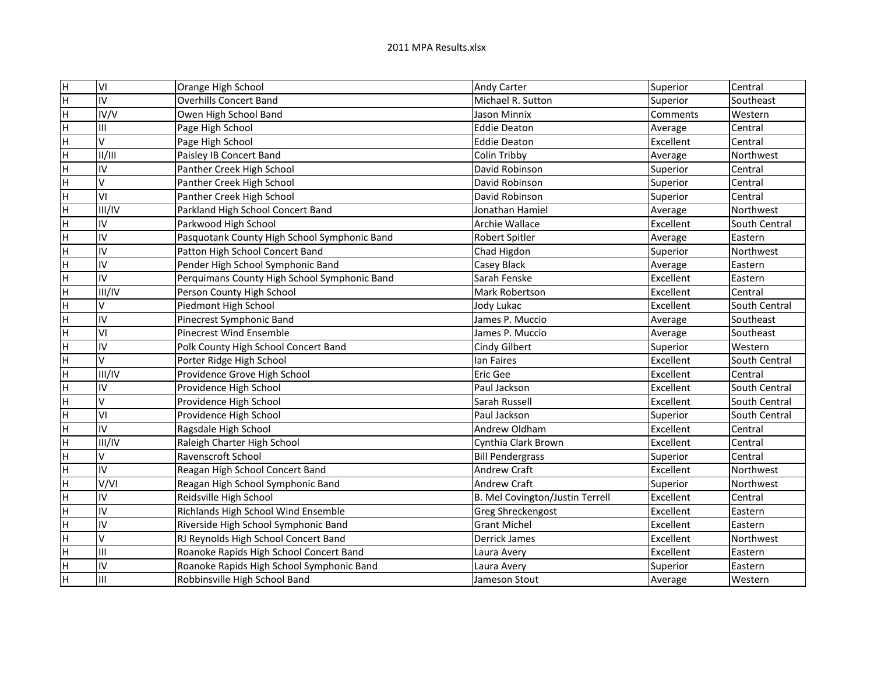| Īн | lνι    | Orange High School                           | <b>Andy Carter</b>              | Superior  | Central       |
|----|--------|----------------------------------------------|---------------------------------|-----------|---------------|
| H  | liv    | <b>Overhills Concert Band</b>                | Michael R. Sutton               | Superior  | Southeast     |
| H  | IV/V   | Owen High School Band                        | <b>Jason Minnix</b>             | Comments  | Western       |
| H  | IШ     | Page High School                             | <b>Eddie Deaton</b>             | Average   | Central       |
| H  | lv.    | Page High School                             | <b>Eddie Deaton</b>             | Excellent | Central       |
| H  | /      | Paisley IB Concert Band                      | Colin Tribby                    | Average   | Northwest     |
| H  | lıv    | Panther Creek High School                    | David Robinson                  | Superior  | Central       |
| H  | lv     | Panther Creek High School                    | David Robinson                  | Superior  | Central       |
| H  | lvı    | Panther Creek High School                    | David Robinson                  | Superior  | Central       |
| H  | III/IV | Parkland High School Concert Band            | Jonathan Hamiel                 | Average   | Northwest     |
| H  | lıv    | Parkwood High School                         | Archie Wallace                  | Excellent | South Central |
| H  | lıv    | Pasquotank County High School Symphonic Band | Robert Spitler                  | Average   | Eastern       |
| H  | lıv    | Patton High School Concert Band              | Chad Higdon                     | Superior  | Northwest     |
| H  | liv    | Pender High School Symphonic Band            | Casey Black                     | Average   | Eastern       |
| H  | liv    | Perquimans County High School Symphonic Band | Sarah Fenske                    | Excellent | Eastern       |
| lн | III/IV | Person County High School                    | Mark Robertson                  | Excellent | Central       |
| lн | lV.    | Piedmont High School                         | Jody Lukac                      | Excellent | South Central |
| lн | lıv    | Pinecrest Symphonic Band                     | James P. Muccio                 | Average   | Southeast     |
| lн | lvı    | <b>Pinecrest Wind Ensemble</b>               | James P. Muccio                 | Average   | Southeast     |
| H  | lıv    | Polk County High School Concert Band         | Cindy Gilbert                   | Superior  | Western       |
| H  | lv.    | Porter Ridge High School                     | lan Faires                      | Excellent | South Central |
| lн | III/IV | Providence Grove High School                 | Eric Gee                        | Excellent | Central       |
| H  | lıv    | Providence High School                       | Paul Jackson                    | Excellent | South Central |
| H  | lv.    | Providence High School                       | Sarah Russell                   | Excellent | South Central |
| H  | lvı    | Providence High School                       | Paul Jackson                    | Superior  | South Central |
| lн | lıv    | Ragsdale High School                         | Andrew Oldham                   | Excellent | Central       |
| H  | III/IV | Raleigh Charter High School                  | Cynthia Clark Brown             | Excellent | Central       |
| H  | lv.    | Ravenscroft School                           | <b>Bill Pendergrass</b>         | Superior  | Central       |
| H  | liv    | Reagan High School Concert Band              | <b>Andrew Craft</b>             | Excellent | Northwest     |
| H  | V/VI   | Reagan High School Symphonic Band            | <b>Andrew Craft</b>             | Superior  | Northwest     |
| H  | liv    | Reidsville High School                       | B. Mel Covington/Justin Terrell | Excellent | Central       |
| H  | liv    | Richlands High School Wind Ensemble          | Greg Shreckengost               | Excellent | Eastern       |
| H  | lıv    | Riverside High School Symphonic Band         | <b>Grant Michel</b>             | Excellent | Eastern       |
| H  | Ιv     | RJ Reynolds High School Concert Band         | Derrick James                   | Excellent | Northwest     |
| H  | Iш     | Roanoke Rapids High School Concert Band      | Laura Avery                     | Excellent | Eastern       |
| H  | İlV    | Roanoke Rapids High School Symphonic Band    | Laura Avery                     | Superior  | Eastern       |
| lн | Iш     | Robbinsville High School Band                | Jameson Stout                   | Average   | Western       |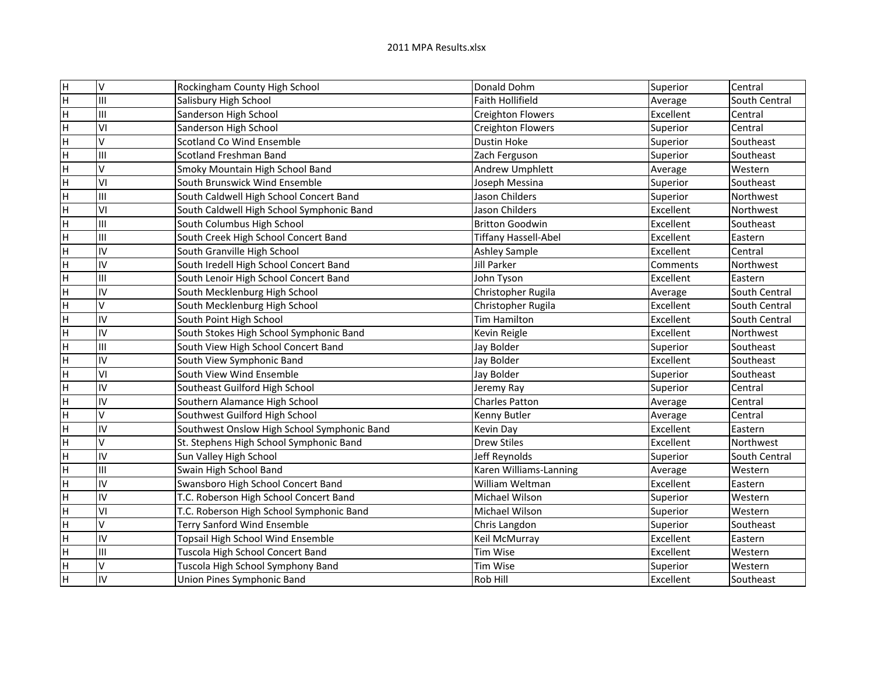| Īн | l٧  | Rockingham County High School               | Donald Dohm                 | Superior  | Central       |
|----|-----|---------------------------------------------|-----------------------------|-----------|---------------|
| H  | Iш  | Salisbury High School                       | <b>Faith Hollifield</b>     | Average   | South Central |
| H  | Iш  | Sanderson High School                       | <b>Creighton Flowers</b>    | Excellent | Central       |
| H  | lvı | Sanderson High School                       | <b>Creighton Flowers</b>    | Superior  | Central       |
| H  | IV. | Scotland Co Wind Ensemble                   | Dustin Hoke                 | Superior  | Southeast     |
| H  | ĪШ  | Scotland Freshman Band                      | Zach Ferguson               | Superior  | Southeast     |
| H  | l٧  | Smoky Mountain High School Band             | Andrew Umphlett             | Average   | Western       |
| H  | lvı | South Brunswick Wind Ensemble               | Joseph Messina              | Superior  | Southeast     |
| H  | Ш   | South Caldwell High School Concert Band     | Jason Childers              | Superior  | Northwest     |
| H  | lvı | South Caldwell High School Symphonic Band   | Jason Childers              | Excellent | Northwest     |
| H  | Ш   | South Columbus High School                  | <b>Britton Goodwin</b>      | Excellent | Southeast     |
| H  | Ш   | South Creek High School Concert Band        | <b>Tiffany Hassell-Abel</b> | Excellent | Eastern       |
| H  | liv | South Granville High School                 | <b>Ashley Sample</b>        | Excellent | Central       |
| H  | liv | South Iredell High School Concert Band      | <b>Jill Parker</b>          | Comments  | Northwest     |
| H  | Iш  | South Lenoir High School Concert Band       | John Tyson                  | Excellent | Eastern       |
| H  | lıv | South Mecklenburg High School               | Christopher Rugila          | Average   | South Central |
| H  | IV. | South Mecklenburg High School               | Christopher Rugila          | Excellent | South Central |
| H  | lıv | South Point High School                     | <b>Tim Hamilton</b>         | Excellent | South Central |
| H  | lıv | South Stokes High School Symphonic Band     | Kevin Reigle                | Excellent | Northwest     |
| H  | Iш  | South View High School Concert Band         | Jay Bolder                  | Superior  | Southeast     |
| H  | lıv | South View Symphonic Band                   | Jay Bolder                  | Excellent | Southeast     |
| H  | lvı | South View Wind Ensemble                    | Jay Bolder                  | Superior  | Southeast     |
| H  | lıv | Southeast Guilford High School              | Jeremy Ray                  | Superior  | Central       |
| H  | lıv | Southern Alamance High School               | <b>Charles Patton</b>       | Average   | Central       |
| H  | IV. | Southwest Guilford High School              | Kenny Butler                | Average   | Central       |
| H  | lıv | Southwest Onslow High School Symphonic Band | Kevin Day                   | Excellent | Eastern       |
| H  | lv  | St. Stephens High School Symphonic Band     | <b>Drew Stiles</b>          | Excellent | Northwest     |
| H  | lıv | Sun Valley High School                      | Jeff Reynolds               | Superior  | South Central |
| H  | Įш  | Swain High School Band                      | Karen Williams-Lanning      | Average   | Western       |
| H  | liv | Swansboro High School Concert Band          | William Weltman             | Excellent | Eastern       |
| H  | liv | T.C. Roberson High School Concert Band      | Michael Wilson              | Superior  | Western       |
| H  | lvı | T.C. Roberson High School Symphonic Band    | Michael Wilson              | Superior  | Western       |
| H  | lv. | <b>Terry Sanford Wind Ensemble</b>          | Chris Langdon               | Superior  | Southeast     |
| H  | liv | Topsail High School Wind Ensemble           | Keil McMurray               | Excellent | Eastern       |
| lн | ÌШ  | Tuscola High School Concert Band            | Tim Wise                    | Excellent | Western       |
| lн | V   | Tuscola High School Symphony Band           | <b>Tim Wise</b>             | Superior  | Western       |
| Īн | liv | Union Pines Symphonic Band                  | Rob Hill                    | Excellent | Southeast     |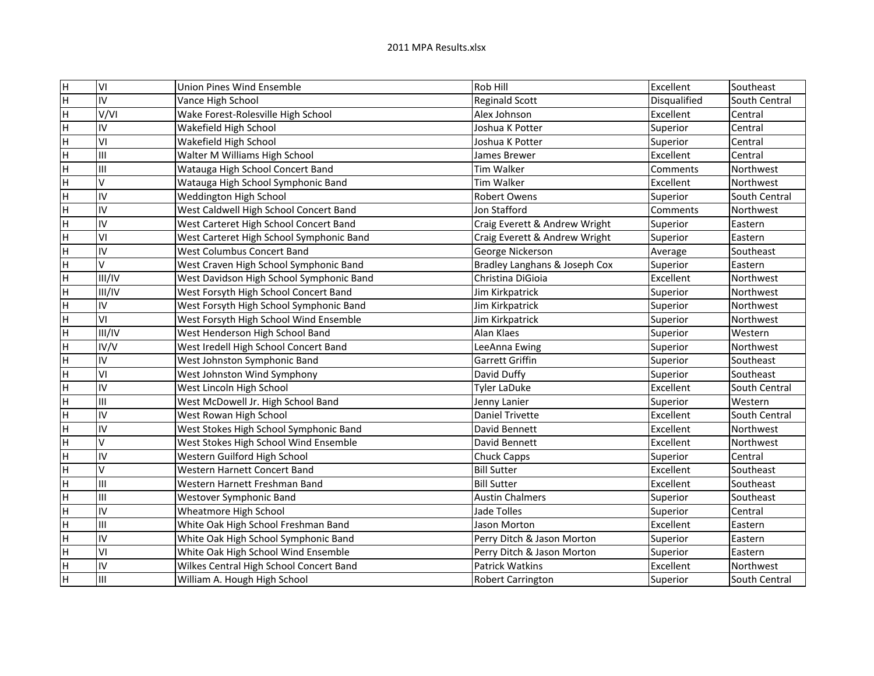| Īн | lνι    | Union Pines Wind Ensemble                | Rob Hill                      | Excellent    | Southeast     |
|----|--------|------------------------------------------|-------------------------------|--------------|---------------|
| H  | liv    | Vance High School                        | <b>Reginald Scott</b>         | Disqualified | South Central |
| H  | V/VI   | Wake Forest-Rolesville High School       | Alex Johnson                  | Excellent    | Central       |
| H  | lıv    | Wakefield High School                    | Joshua K Potter               | Superior     | Central       |
| H  | lvı    | Wakefield High School                    | Joshua K Potter               | Superior     | Central       |
| H  | Iш     | Walter M Williams High School            | James Brewer                  | Excellent    | Central       |
| H  | Iш     | Watauga High School Concert Band         | <b>Tim Walker</b>             | Comments     | Northwest     |
| H  | l٧     | Watauga High School Symphonic Band       | <b>Tim Walker</b>             | Excellent    | Northwest     |
| H  | lıv    | Weddington High School                   | Robert Owens                  | Superior     | South Central |
| H  | lıv    | West Caldwell High School Concert Band   | Jon Stafford                  | Comments     | Northwest     |
| H  | lıv    | West Carteret High School Concert Band   | Craig Everett & Andrew Wright | Superior     | Eastern       |
| H  | lvı    | West Carteret High School Symphonic Band | Craig Everett & Andrew Wright | Superior     | Eastern       |
| H  | liv    | West Columbus Concert Band               | George Nickerson              | Average      | Southeast     |
| H  | lv.    | West Craven High School Symphonic Band   | Bradley Langhans & Joseph Cox | Superior     | Eastern       |
| lн | III/IV | West Davidson High School Symphonic Band | Christina DiGioia             | Excellent    | Northwest     |
| lн | III/IV | West Forsyth High School Concert Band    | Jim Kirkpatrick               | Superior     | Northwest     |
| lн | lıv    | West Forsyth High School Symphonic Band  | Jim Kirkpatrick               | Superior     | Northwest     |
| lн | lvı    | West Forsyth High School Wind Ensemble   | Jim Kirkpatrick               | Superior     | Northwest     |
| lн | III/IV | West Henderson High School Band          | Alan Klaes                    | Superior     | Western       |
| lн | IV/V   | West Iredell High School Concert Band    | LeeAnna Ewing                 | Superior     | Northwest     |
| lн | lıv    | West Johnston Symphonic Band             | Garrett Griffin               | Superior     | Southeast     |
| H  | lvı    | West Johnston Wind Symphony              | David Duffy                   | Superior     | Southeast     |
| H  | lıv    | West Lincoln High School                 | <b>Tyler LaDuke</b>           | Excellent    | South Central |
| H  | Iш     | West McDowell Jr. High School Band       | Jenny Lanier                  | Superior     | Western       |
| H  | İlV    | West Rowan High School                   | <b>Daniel Trivette</b>        | Excellent    | South Central |
| H  | lıv    | West Stokes High School Symphonic Band   | David Bennett                 | Excellent    | Northwest     |
| H  | lv     | West Stokes High School Wind Ensemble    | David Bennett                 | Excellent    | Northwest     |
| H  | lıv    | Western Guilford High School             | <b>Chuck Capps</b>            | Superior     | Central       |
| H  | ΙV     | Western Harnett Concert Band             | <b>Bill Sutter</b>            | Excellent    | Southeast     |
| H  | Iш     | Western Harnett Freshman Band            | <b>Bill Sutter</b>            | Excellent    | Southeast     |
| H  | Iш     | Westover Symphonic Band                  | <b>Austin Chalmers</b>        | Superior     | Southeast     |
| H  | liv    | Wheatmore High School                    | <b>Jade Tolles</b>            | Superior     | Central       |
| H  | Iш     | White Oak High School Freshman Band      | Jason Morton                  | Excellent    | Eastern       |
| H  | lıv    | White Oak High School Symphonic Band     | Perry Ditch & Jason Morton    | Superior     | Eastern       |
| lн | lvı    | White Oak High School Wind Ensemble      | Perry Ditch & Jason Morton    | Superior     | Eastern       |
| lн | lıv    | Wilkes Central High School Concert Band  | <b>Patrick Watkins</b>        | Excellent    | Northwest     |
| lн | ĪШ     | William A. Hough High School             | <b>Robert Carrington</b>      | Superior     | South Central |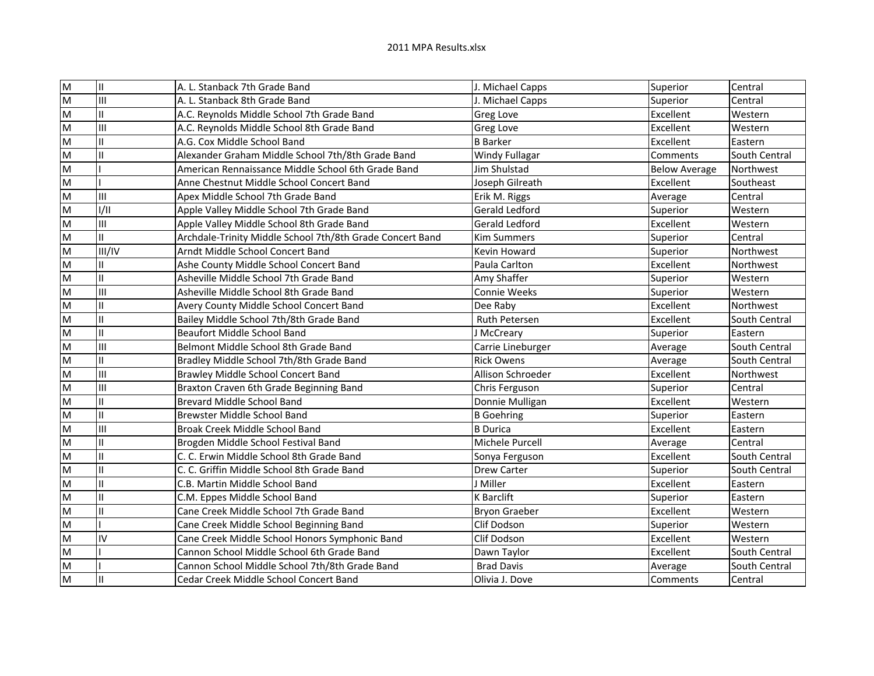| M  | III    | A. L. Stanback 7th Grade Band                             | J. Michael Capps      | Superior             | Central       |
|----|--------|-----------------------------------------------------------|-----------------------|----------------------|---------------|
| M  | Iш     | A. L. Stanback 8th Grade Band                             | J. Michael Capps      | Superior             | Central       |
| M  | II     | A.C. Reynolds Middle School 7th Grade Band                | Greg Love             | Excellent            | Western       |
| M  | Ш      | A.C. Reynolds Middle School 8th Grade Band                | Greg Love             | Excellent            | Western       |
| M  | Ш      | A.G. Cox Middle School Band                               | <b>B</b> Barker       | Excellent            | Eastern       |
| M  | II     | Alexander Graham Middle School 7th/8th Grade Band         | <b>Windy Fullagar</b> | Comments             | South Central |
| M  |        | American Rennaissance Middle School 6th Grade Band        | Jim Shulstad          | <b>Below Average</b> | Northwest     |
| M  |        | Anne Chestnut Middle School Concert Band                  | Joseph Gilreath       | Excellent            | Southeast     |
| M  | Iш     | Apex Middle School 7th Grade Band                         | Erik M. Riggs         | Average              | Central       |
| M  | lı/ıı  | Apple Valley Middle School 7th Grade Band                 | Gerald Ledford        | Superior             | Western       |
| M  | Iш     | Apple Valley Middle School 8th Grade Band                 | Gerald Ledford        | Excellent            | Western       |
| M  | T      | Archdale-Trinity Middle School 7th/8th Grade Concert Band | <b>Kim Summers</b>    | Superior             | Central       |
| M  | III/IV | Arndt Middle School Concert Band                          | Kevin Howard          | Superior             | Northwest     |
| M  | Ш      | Ashe County Middle School Concert Band                    | Paula Carlton         | Excellent            | Northwest     |
| M  | Ш      | Asheville Middle School 7th Grade Band                    | Amy Shaffer           | Superior             | Western       |
| M  | IШ     | Asheville Middle School 8th Grade Band                    | Connie Weeks          | Superior             | Western       |
| İМ | II     | Avery County Middle School Concert Band                   | Dee Raby              | Excellent            | Northwest     |
| İМ | T      | Bailey Middle School 7th/8th Grade Band                   | Ruth Petersen         | Excellent            | South Central |
| İм | T      | <b>Beaufort Middle School Band</b>                        | J McCreary            | Superior             | Eastern       |
| İМ | Ш      | Belmont Middle School 8th Grade Band                      | Carrie Lineburger     | Average              | South Central |
| İМ | II     | Bradley Middle School 7th/8th Grade Band                  | <b>Rick Owens</b>     | Average              | South Central |
| İМ | Ш      | <b>Brawley Middle School Concert Band</b>                 | Allison Schroeder     | Excellent            | Northwest     |
| İм | Ш      | Braxton Craven 6th Grade Beginning Band                   | Chris Ferguson        | Superior             | Central       |
| İМ | π      | Brevard Middle School Band                                | Donnie Mulligan       | Excellent            | Western       |
| İм | T      | Brewster Middle School Band                               | <b>B</b> Goehring     | Superior             | Eastern       |
| İм | Ш      | Broak Creek Middle School Band                            | <b>B</b> Durica       | Excellent            | Eastern       |
| İМ | Ш      | Brogden Middle School Festival Band                       | Michele Purcell       | Average              | Central       |
| İМ | π      | C. C. Erwin Middle School 8th Grade Band                  | Sonya Ferguson        | Excellent            | South Central |
| İМ | π      | C. C. Griffin Middle School 8th Grade Band                | Drew Carter           | Superior             | South Central |
| M  | π      | C.B. Martin Middle School Band                            | J Miller              | Excellent            | Eastern       |
| İМ | Ш      | C.M. Eppes Middle School Band                             | <b>K</b> Barclift     | Superior             | Eastern       |
| lм | π      | Cane Creek Middle School 7th Grade Band                   | <b>Bryon Graeber</b>  | Excellent            | Western       |
| İМ |        | Cane Creek Middle School Beginning Band                   | Clif Dodson           | Superior             | Western       |
| M  | lıv    | Cane Creek Middle School Honors Symphonic Band            | Clif Dodson           | Excellent            | Western       |
| İМ |        | Cannon School Middle School 6th Grade Band                | Dawn Taylor           | Excellent            | South Central |
| İМ |        | Cannon School Middle School 7th/8th Grade Band            | <b>Brad Davis</b>     | Average              | South Central |
| lм | Ш      | Cedar Creek Middle School Concert Band                    | Olivia J. Dove        | Comments             | Central       |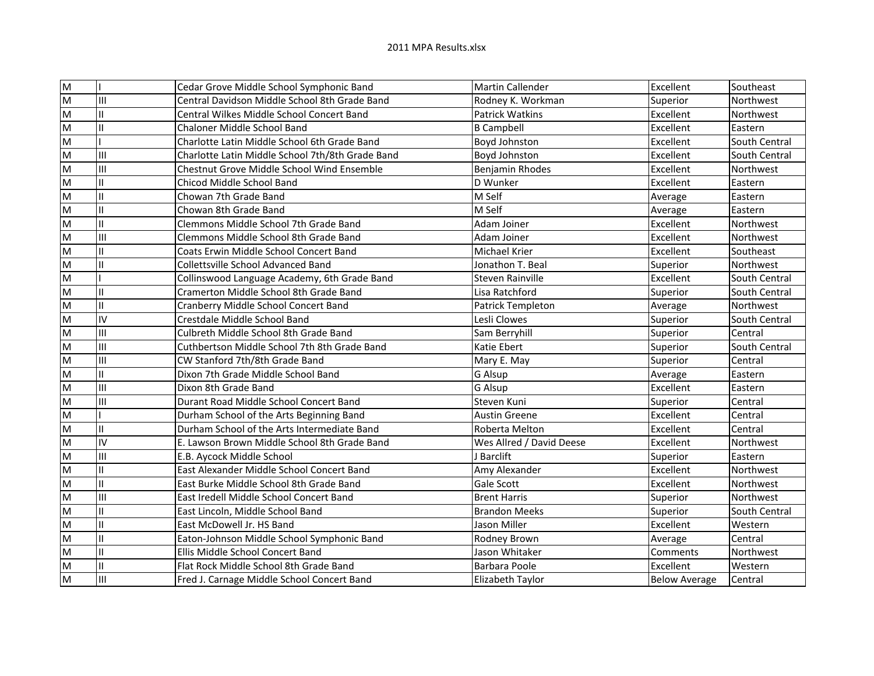| M  |              | Cedar Grove Middle School Symphonic Band         | Martin Callender         | <b>Excellent</b>     | Southeast      |
|----|--------------|--------------------------------------------------|--------------------------|----------------------|----------------|
| İм | IШ           | Central Davidson Middle School 8th Grade Band    | Rodney K. Workman        | Superior             | Northwest      |
| M  | II           | Central Wilkes Middle School Concert Band        | <b>Patrick Watkins</b>   | Excellent            | Northwest      |
| м  | II           | Chaloner Middle School Band                      | <b>B</b> Campbell        | Excellent            | Eastern        |
| lм |              | Charlotte Latin Middle School 6th Grade Band     | Boyd Johnston            | Excellent            | South Central  |
| M  | Iш           | Charlotte Latin Middle School 7th/8th Grade Band | Boyd Johnston            | Excellent            | South Central  |
| M  | Ш            | Chestnut Grove Middle School Wind Ensemble       | Benjamin Rhodes          | Excellent            | Northwest      |
| M  | II           | Chicod Middle School Band                        | D Wunker                 | Excellent            | Eastern        |
| M  | II           | Chowan 7th Grade Band                            | M Self                   | Average              | Eastern        |
| M  | II           | Chowan 8th Grade Band                            | M Self                   | Average              | Eastern        |
| M  | $\mathbf{H}$ | Clemmons Middle School 7th Grade Band            | Adam Joiner              | Excellent            | Northwest      |
| M  | Ш            | Clemmons Middle School 8th Grade Band            | Adam Joiner              | Excellent            | Northwest      |
| İМ | π            | Coats Erwin Middle School Concert Band           | Michael Krier            | Excellent            | Southeast      |
| İМ | π            | Collettsville School Advanced Band               | Jonathon T. Beal         | Superior             | Northwest      |
| M  |              | Collinswood Language Academy, 6th Grade Band     | Steven Rainville         | Excellent            | South Central  |
| M  | Ħ            | Cramerton Middle School 8th Grade Band           | Lisa Ratchford           | Superior             | South Central  |
| İМ | II           | Cranberry Middle School Concert Band             | Patrick Templeton        | Average              | Northwest      |
| İМ | lıv          | Crestdale Middle School Band                     | Lesli Clowes             | Superior             | South Central  |
| İМ | Iш           | Culbreth Middle School 8th Grade Band            | Sam Berryhill            | Superior             | Central        |
| İМ | Iш           | Cuthbertson Middle School 7th 8th Grade Band     | Katie Ebert              | Superior             | South Central  |
| İМ | lıı          | CW Stanford 7th/8th Grade Band                   | Mary E. May              | Superior             | Central        |
| İМ | π            | Dixon 7th Grade Middle School Band               | G Alsup                  | Average              | Eastern        |
| İМ | Iш           | Dixon 8th Grade Band                             | G Alsup                  | Excellent            | Eastern        |
| İМ | Ш            | Durant Road Middle School Concert Band           | Steven Kuni              | Superior             | Central        |
| İМ |              | Durham School of the Arts Beginning Band         | <b>Austin Greene</b>     | Excellent            | Central        |
| İМ | π            | Durham School of the Arts Intermediate Band      | Roberta Melton           | Excellent            | Central        |
| lм | lıv          | E. Lawson Brown Middle School 8th Grade Band     | Wes Allred / David Deese | Excellent            | Northwest      |
| İМ | Ш            | E.B. Aycock Middle School                        | J Barclift               | Superior             | Eastern        |
| İМ | π            | East Alexander Middle School Concert Band        | Amy Alexander            | Excellent            | Northwest      |
| lм | Ш            | East Burke Middle School 8th Grade Band          | Gale Scott               | Excellent            | Northwest      |
| İМ | Ш            | East Iredell Middle School Concert Band          | <b>Brent Harris</b>      | Superior             | Northwest      |
| м  | П            | East Lincoln, Middle School Band                 | <b>Brandon Meeks</b>     | Superior             | South Central  |
| lм | II           | East McDowell Jr. HS Band                        | Jason Miller             | Excellent            | <b>Western</b> |
| lм | II           | Eaton-Johnson Middle School Symphonic Band       | Rodney Brown             | Average              | Central        |
| İМ | II           | Ellis Middle School Concert Band                 | Jason Whitaker           | Comments             | Northwest      |
| İМ | II           | Flat Rock Middle School 8th Grade Band           | Barbara Poole            | Excellent            | Western        |
| lм | Iш           | Fred J. Carnage Middle School Concert Band       | Elizabeth Taylor         | <b>Below Average</b> | Central        |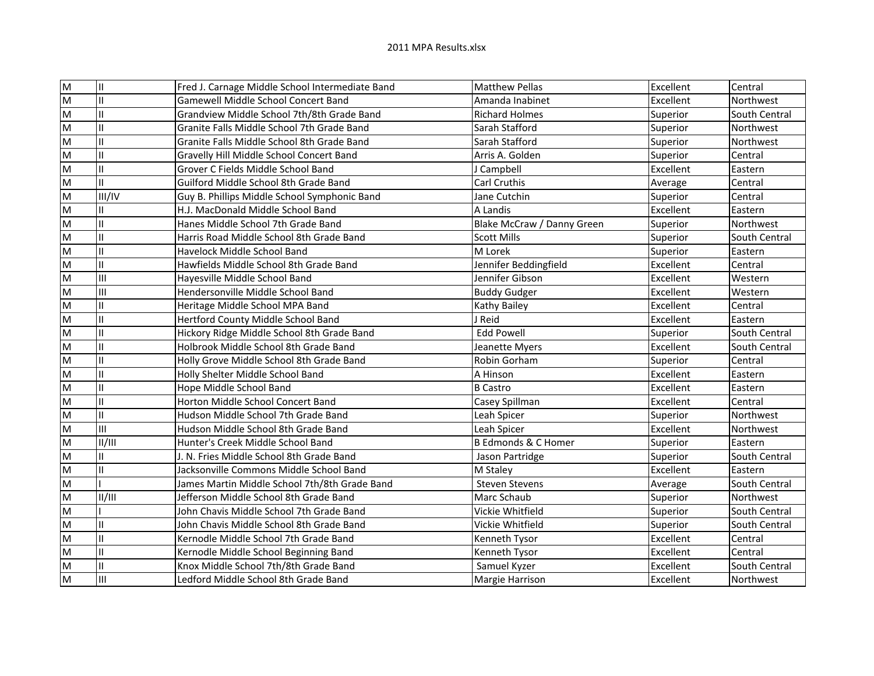| M  | Ш            | Fred J. Carnage Middle School Intermediate Band | Matthew Pellas             | Excellent | Central       |
|----|--------------|-------------------------------------------------|----------------------------|-----------|---------------|
| M  | Ш            | Gamewell Middle School Concert Band             | Amanda Inabinet            | Excellent | Northwest     |
| M  | II           | Grandview Middle School 7th/8th Grade Band      | <b>Richard Holmes</b>      | Superior  | South Central |
| M  | II           | Granite Falls Middle School 7th Grade Band      | Sarah Stafford             | Superior  | Northwest     |
| M  | II           | Granite Falls Middle School 8th Grade Band      | Sarah Stafford             | Superior  | Northwest     |
| M  | II           | Gravelly Hill Middle School Concert Band        | Arris A. Golden            | Superior  | Central       |
| M  | $\mathbf{H}$ | Grover C Fields Middle School Band              | J Campbell                 | Excellent | Eastern       |
| M  | II.          | Guilford Middle School 8th Grade Band           | Carl Cruthis               | Average   | Central       |
| M  | III/IV       | Guy B. Phillips Middle School Symphonic Band    | Jane Cutchin               | Superior  | Central       |
| M  | Ш            | H.J. MacDonald Middle School Band               | A Landis                   | Excellent | Eastern       |
| M  | II           | Hanes Middle School 7th Grade Band              | Blake McCraw / Danny Green | Superior  | Northwest     |
| M  | II           | Harris Road Middle School 8th Grade Band        | Scott Mills                | Superior  | South Central |
| İМ | II           | Havelock Middle School Band                     | M Lorek                    | Superior  | Eastern       |
| İМ | Ш            | Hawfields Middle School 8th Grade Band          | Jennifer Beddingfield      | Excellent | Central       |
| M  | IШ           | Hayesville Middle School Band                   | Jennifer Gibson            | Excellent | Western       |
| İМ | lıı          | Hendersonville Middle School Band               | <b>Buddy Gudger</b>        | Excellent | Western       |
| İМ | π            | Heritage Middle School MPA Band                 | Kathy Bailey               | Excellent | Central       |
| İМ | π            | Hertford County Middle School Band              | J Reid                     | Excellent | Eastern       |
| İМ | II           | Hickory Ridge Middle School 8th Grade Band      | <b>Edd Powell</b>          | Superior  | South Central |
| İМ | II           | Holbrook Middle School 8th Grade Band           | Jeanette Myers             | Excellent | South Central |
| İМ | II           | Holly Grove Middle School 8th Grade Band        | Robin Gorham               | Superior  | Central       |
| İМ | π            | Holly Shelter Middle School Band                | A Hinson                   | Excellent | Eastern       |
| İм | II           | Hope Middle School Band                         | <b>B</b> Castro            | Excellent | Eastern       |
| İМ | π            | Horton Middle School Concert Band               | Casey Spillman             | Excellent | Central       |
| İМ | π            | Hudson Middle School 7th Grade Band             | Leah Spicer                | Superior  | Northwest     |
| İМ | lıı          | Hudson Middle School 8th Grade Band             | Leah Spicer                | Excellent | Northwest     |
| İМ | /            | Hunter's Creek Middle School Band               | B Edmonds & C Homer        | Superior  | Eastern       |
| İМ | π            | J. N. Fries Middle School 8th Grade Band        | Jason Partridge            | Superior  | South Central |
| lм | π            | Jacksonville Commons Middle School Band         | M Staley                   | Excellent | Eastern       |
| İМ |              | James Martin Middle School 7th/8th Grade Band   | <b>Steven Stevens</b>      | Average   | South Central |
| İМ | /            | Jefferson Middle School 8th Grade Band          | Marc Schaub                | Superior  | Northwest     |
| м  |              | John Chavis Middle School 7th Grade Band        | Vickie Whitfield           | Superior  | South Central |
| lм | II           | John Chavis Middle School 8th Grade Band        | Vickie Whitfield           | Superior  | South Central |
| lм | II           | Kernodle Middle School 7th Grade Band           | Kenneth Tysor              | Excellent | Central       |
| İМ | II           | Kernodle Middle School Beginning Band           | Kenneth Tysor              | Excellent | Central       |
| İМ | II           | Knox Middle School 7th/8th Grade Band           | Samuel Kyzer               | Excellent | South Central |
| lм | Iш           | Ledford Middle School 8th Grade Band            | Margie Harrison            | Excellent | Northwest     |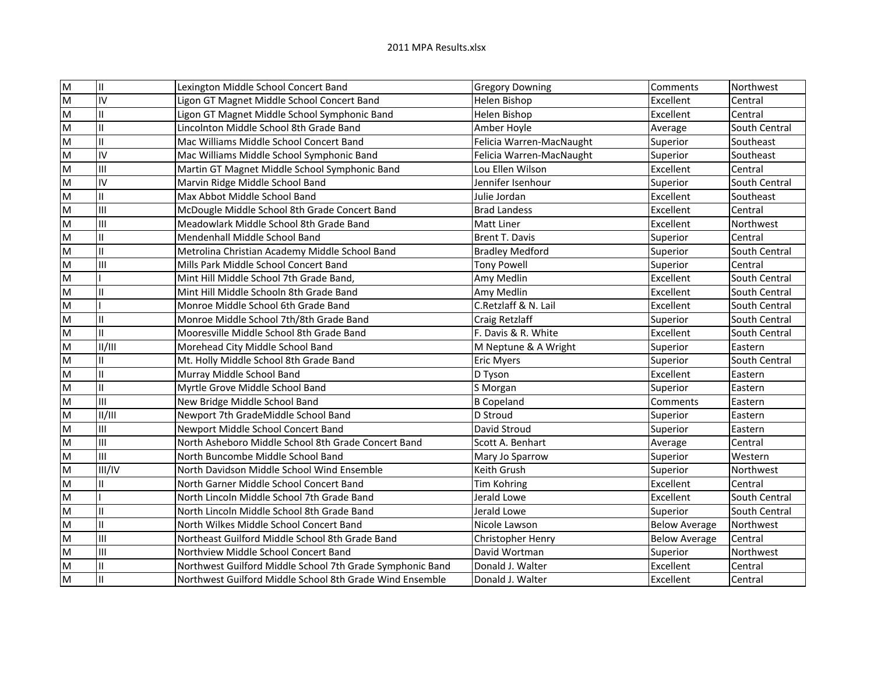| Īм                                     | IΠ                                  | Lexington Middle School Concert Band                                                                                                                                                                                                                                                                                                                    | <b>Gregory Downing</b>                                                                                     | Comments                                                                                       | Northwest                                                                                 |
|----------------------------------------|-------------------------------------|---------------------------------------------------------------------------------------------------------------------------------------------------------------------------------------------------------------------------------------------------------------------------------------------------------------------------------------------------------|------------------------------------------------------------------------------------------------------------|------------------------------------------------------------------------------------------------|-------------------------------------------------------------------------------------------|
| M                                      | lıv                                 | Ligon GT Magnet Middle School Concert Band                                                                                                                                                                                                                                                                                                              | Helen Bishop                                                                                               | Excellent                                                                                      | Central                                                                                   |
| M                                      | Ш                                   |                                                                                                                                                                                                                                                                                                                                                         |                                                                                                            | Excellent                                                                                      |                                                                                           |
|                                        |                                     | Ligon GT Magnet Middle School Symphonic Band                                                                                                                                                                                                                                                                                                            | Helen Bishop                                                                                               |                                                                                                | Central                                                                                   |
| M                                      | Ш                                   | Lincolnton Middle School 8th Grade Band                                                                                                                                                                                                                                                                                                                 | Amber Hoyle                                                                                                | Average                                                                                        | South Central                                                                             |
| M                                      | II                                  | Mac Williams Middle School Concert Band                                                                                                                                                                                                                                                                                                                 | Felicia Warren-MacNaught                                                                                   | Superior                                                                                       | Southeast                                                                                 |
| M                                      | lıv                                 | Mac Williams Middle School Symphonic Band                                                                                                                                                                                                                                                                                                               | Felicia Warren-MacNaught                                                                                   | Superior                                                                                       | Southeast                                                                                 |
| M                                      | Iш                                  | Martin GT Magnet Middle School Symphonic Band                                                                                                                                                                                                                                                                                                           | Lou Ellen Wilson                                                                                           | Excellent                                                                                      | Central                                                                                   |
| M                                      | lıv                                 | Marvin Ridge Middle School Band                                                                                                                                                                                                                                                                                                                         | Jennifer Isenhour                                                                                          | Superior                                                                                       | South Central                                                                             |
| M                                      | II                                  | Max Abbot Middle School Band                                                                                                                                                                                                                                                                                                                            | Julie Jordan                                                                                               | Excellent                                                                                      | Southeast                                                                                 |
| M                                      | Iш                                  | McDougle Middle School 8th Grade Concert Band                                                                                                                                                                                                                                                                                                           | <b>Brad Landess</b>                                                                                        | Excellent                                                                                      | Central                                                                                   |
| M                                      | Iш                                  | Meadowlark Middle School 8th Grade Band                                                                                                                                                                                                                                                                                                                 | <b>Matt Liner</b>                                                                                          | Excellent                                                                                      | Northwest                                                                                 |
| M                                      | Ш                                   | Mendenhall Middle School Band                                                                                                                                                                                                                                                                                                                           | <b>Brent T. Davis</b>                                                                                      | Superior                                                                                       | Central                                                                                   |
| M                                      | II                                  | Metrolina Christian Academy Middle School Band                                                                                                                                                                                                                                                                                                          | <b>Bradley Medford</b>                                                                                     | Superior                                                                                       | South Central                                                                             |
| M                                      | Iш                                  | Mills Park Middle School Concert Band                                                                                                                                                                                                                                                                                                                   | <b>Tony Powell</b>                                                                                         | Superior                                                                                       | Central                                                                                   |
| M                                      |                                     | Mint Hill Middle School 7th Grade Band,                                                                                                                                                                                                                                                                                                                 | Amy Medlin                                                                                                 | Excellent                                                                                      | South Central                                                                             |
| M                                      | Ш                                   | Mint Hill Middle Schooln 8th Grade Band                                                                                                                                                                                                                                                                                                                 | Amy Medlin                                                                                                 | Excellent                                                                                      | South Central                                                                             |
| M                                      |                                     | Monroe Middle School 6th Grade Band                                                                                                                                                                                                                                                                                                                     | C.Retzlaff & N. Lail                                                                                       | Excellent                                                                                      | South Central                                                                             |
| м                                      | II                                  | Monroe Middle School 7th/8th Grade Band                                                                                                                                                                                                                                                                                                                 | Craig Retzlaff                                                                                             | Superior                                                                                       | South Central                                                                             |
| İм                                     | lπ                                  | Mooresville Middle School 8th Grade Band                                                                                                                                                                                                                                                                                                                | F. Davis & R. White                                                                                        | Excellent                                                                                      | South Central                                                                             |
| $\overline{\mathsf{M}}$                | II/III                              | Morehead City Middle School Band                                                                                                                                                                                                                                                                                                                        | M Neptune & A Wright                                                                                       | Superior                                                                                       | Eastern                                                                                   |
| м                                      | II                                  | Mt. Holly Middle School 8th Grade Band                                                                                                                                                                                                                                                                                                                  | <b>Eric Myers</b>                                                                                          | Superior                                                                                       | South Central                                                                             |
| İМ                                     | Ш                                   | Murray Middle School Band                                                                                                                                                                                                                                                                                                                               | D Tyson                                                                                                    | Excellent                                                                                      | Eastern                                                                                   |
| İМ                                     | Ш                                   | Myrtle Grove Middle School Band                                                                                                                                                                                                                                                                                                                         | S Morgan                                                                                                   | Superior                                                                                       | Eastern                                                                                   |
| İм                                     | Iш                                  | New Bridge Middle School Band                                                                                                                                                                                                                                                                                                                           | <b>B</b> Copeland                                                                                          | Comments                                                                                       | Eastern                                                                                   |
| İм                                     | II/III                              | Newport 7th GradeMiddle School Band                                                                                                                                                                                                                                                                                                                     | D Stroud                                                                                                   | Superior                                                                                       | Eastern                                                                                   |
| İм                                     | IШ                                  | Newport Middle School Concert Band                                                                                                                                                                                                                                                                                                                      | David Stroud                                                                                               | Superior                                                                                       | Eastern                                                                                   |
| lм                                     | IШ                                  | North Asheboro Middle School 8th Grade Concert Band                                                                                                                                                                                                                                                                                                     | Scott A. Benhart                                                                                           | Average                                                                                        | Central                                                                                   |
| İМ                                     | Iш                                  | North Buncombe Middle School Band                                                                                                                                                                                                                                                                                                                       | Mary Jo Sparrow                                                                                            | Superior                                                                                       | Western                                                                                   |
| м                                      | III/IV                              | North Davidson Middle School Wind Ensemble                                                                                                                                                                                                                                                                                                              | Keith Grush                                                                                                | Superior                                                                                       | Northwest                                                                                 |
| lм                                     | Ш                                   | North Garner Middle School Concert Band                                                                                                                                                                                                                                                                                                                 | Tim Kohring                                                                                                | Excellent                                                                                      | Central                                                                                   |
|                                        |                                     |                                                                                                                                                                                                                                                                                                                                                         | Jerald Lowe                                                                                                | Excellent                                                                                      |                                                                                           |
|                                        |                                     |                                                                                                                                                                                                                                                                                                                                                         |                                                                                                            |                                                                                                |                                                                                           |
|                                        | II                                  |                                                                                                                                                                                                                                                                                                                                                         |                                                                                                            |                                                                                                |                                                                                           |
|                                        |                                     |                                                                                                                                                                                                                                                                                                                                                         |                                                                                                            |                                                                                                |                                                                                           |
|                                        |                                     |                                                                                                                                                                                                                                                                                                                                                         |                                                                                                            |                                                                                                |                                                                                           |
|                                        |                                     |                                                                                                                                                                                                                                                                                                                                                         |                                                                                                            |                                                                                                |                                                                                           |
|                                        |                                     |                                                                                                                                                                                                                                                                                                                                                         |                                                                                                            |                                                                                                |                                                                                           |
| İМ<br> м<br>lм<br>lм<br>lм<br>lм<br>İм | $\vert \vert$<br>Iш<br>Iш<br>Ш<br>Ш | North Lincoln Middle School 7th Grade Band<br>North Lincoln Middle School 8th Grade Band<br>North Wilkes Middle School Concert Band<br>Northeast Guilford Middle School 8th Grade Band<br>Northview Middle School Concert Band<br>Northwest Guilford Middle School 7th Grade Symphonic Band<br>Northwest Guilford Middle School 8th Grade Wind Ensemble | Jerald Lowe<br>Nicole Lawson<br>Christopher Henry<br>David Wortman<br>Donald J. Walter<br>Donald J. Walter | Superior<br><b>Below Average</b><br><b>Below Average</b><br>Superior<br>Excellent<br>Excellent | South Central<br>South Central<br>Northwest<br>Central<br>Northwest<br>Central<br>Central |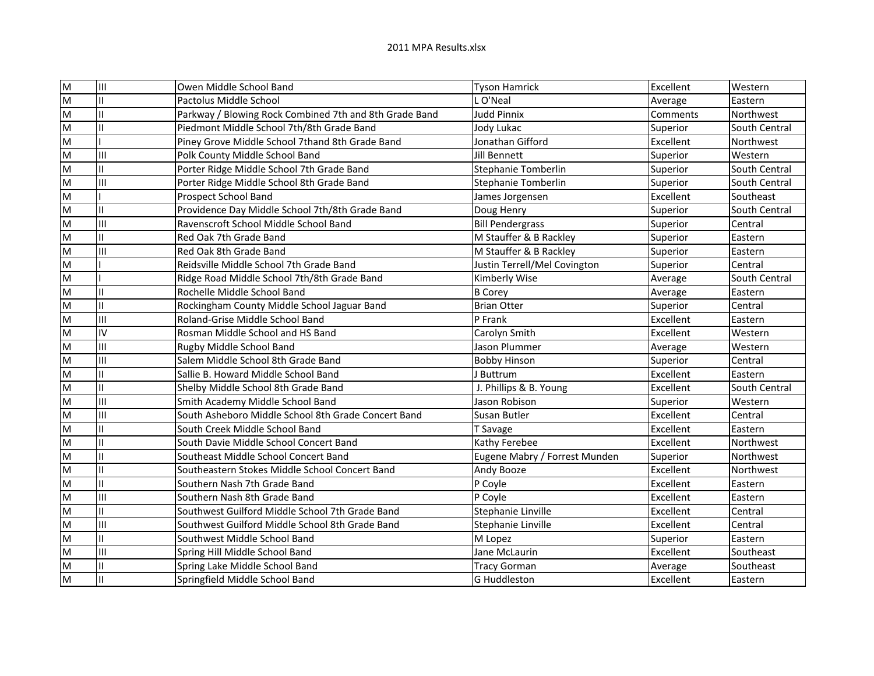| İМ                      | IШ  | Owen Middle School Band                                | <b>Tyson Hamrick</b>          | Excellent | lWestern         |
|-------------------------|-----|--------------------------------------------------------|-------------------------------|-----------|------------------|
| lм                      | Ш   | Pactolus Middle School                                 | L O'Neal                      | Average   | Eastern          |
| M                       | II  | Parkway / Blowing Rock Combined 7th and 8th Grade Band | <b>Judd Pinnix</b>            | Comments  | Northwest        |
| M                       | II  | Piedmont Middle School 7th/8th Grade Band              | Jody Lukac                    | Superior  | South Central    |
| M                       |     | Piney Grove Middle School 7thand 8th Grade Band        | Jonathan Gifford              | Excellent | Northwest        |
| M                       | Iш  | Polk County Middle School Band                         | Jill Bennett                  | Superior  | Western          |
| M                       | Ш   | Porter Ridge Middle School 7th Grade Band              | Stephanie Tomberlin           | Superior  | South Central    |
| İМ                      | Iш  | Porter Ridge Middle School 8th Grade Band              | Stephanie Tomberlin           | Superior  | South Central    |
| м                       |     | Prospect School Band                                   | James Jorgensen               | Excellent | Southeast        |
| İМ                      | Ш   | Providence Day Middle School 7th/8th Grade Band        | Doug Henry                    | Superior  | South Central    |
| lм                      | Iш  | Ravenscroft School Middle School Band                  | <b>Bill Pendergrass</b>       | Superior  | Central          |
| $\overline{\mathsf{M}}$ | lπ  | Red Oak 7th Grade Band                                 | M Stauffer & B Rackley        | Superior  | Eastern          |
| M                       | Iш  | Red Oak 8th Grade Band                                 | M Stauffer & B Rackley        | Superior  | Eastern          |
| M                       |     | Reidsville Middle School 7th Grade Band                | Justin Terrell/Mel Covington  | Superior  | Central          |
| M                       |     | Ridge Road Middle School 7th/8th Grade Band            | Kimberly Wise                 | Average   | South Central    |
| M                       | lπ  | Rochelle Middle School Band                            | <b>B</b> Corey                | Average   | Eastern          |
| м                       | II  | Rockingham County Middle School Jaguar Band            | <b>Brian Otter</b>            | Superior  | Central          |
| м                       | Iш  | Roland-Grise Middle School Band                        | P Frank                       | Excellent | Eastern          |
| lм                      | lıv | Rosman Middle School and HS Band                       | Carolyn Smith                 | Excellent | Western          |
| lм                      | IШ  | Rugby Middle School Band                               | Jason Plummer                 | Average   | Western          |
| İМ                      | Iш  | Salem Middle School 8th Grade Band                     | <b>Bobby Hinson</b>           | Superior  | Central          |
| İМ                      | Ш   | Sallie B. Howard Middle School Band                    | J Buttrum                     | Excellent | Eastern          |
| lм                      | Ш   | Shelby Middle School 8th Grade Band                    | J. Phillips & B. Young        | Excellent | South Central    |
| İМ                      | Iш  | Smith Academy Middle School Band                       | Jason Robison                 | Superior  | Western          |
| İМ                      | Iш  | South Asheboro Middle School 8th Grade Concert Band    | Susan Butler                  | Excellent | Central          |
| м                       | Ш   | South Creek Middle School Band                         | T Savage                      | Excellent | Eastern          |
| м                       | Ш   | South Davie Middle School Concert Band                 | Kathy Ferebee                 | Excellent | Northwest        |
| lм                      | Ш   | Southeast Middle School Concert Band                   | Eugene Mabry / Forrest Munden | Superior  | <b>Northwest</b> |
| lм                      | Ш   | Southeastern Stokes Middle School Concert Band         | Andy Booze                    | Excellent | Northwest        |
| lм                      | Ш   | Southern Nash 7th Grade Band                           | P Coyle                       | Excellent | Eastern          |
| м                       | Iш  | Southern Nash 8th Grade Band                           | P Coyle                       | Excellent | Eastern          |
| lм                      | Ш   | Southwest Guilford Middle School 7th Grade Band        | Stephanie Linville            | Excellent | Central          |
| lм                      | Iш  | Southwest Guilford Middle School 8th Grade Band        | Stephanie Linville            | Excellent | Central          |
| lм                      | Ш   | Southwest Middle School Band                           | M Lopez                       | Superior  | Eastern          |
| lм                      | Iш  | Spring Hill Middle School Band                         | Jane McLaurin                 | Excellent | Southeast        |
| lм                      | Ш   | Spring Lake Middle School Band                         | <b>Tracy Gorman</b>           | Average   | Southeast        |
| İм                      | Ш   | Springfield Middle School Band                         | G Huddleston                  | Excellent | Eastern          |